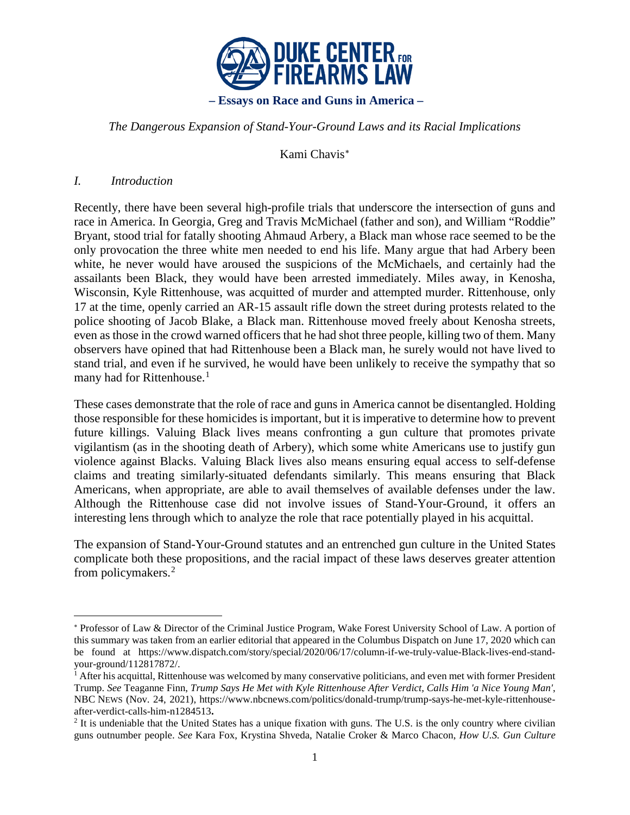

### *The Dangerous Expansion of Stand-Your-Ground Laws and its Racial Implications*

Kami Chavis[∗](#page-0-0)

### *I. Introduction*

 $\overline{a}$ 

Recently, there have been several high-profile trials that underscore the intersection of guns and race in America. In Georgia, Greg and Travis McMichael (father and son), and William "Roddie" Bryant, stood trial for fatally shooting Ahmaud Arbery, a Black man whose race seemed to be the only provocation the three white men needed to end his life. Many argue that had Arbery been white, he never would have aroused the suspicions of the McMichaels, and certainly had the assailants been Black, they would have been arrested immediately. Miles away, in Kenosha, Wisconsin, Kyle Rittenhouse, was acquitted of murder and attempted murder. Rittenhouse, only 17 at the time, openly carried an AR-15 assault rifle down the street during protests related to the police shooting of Jacob Blake, a Black man. Rittenhouse moved freely about Kenosha streets, even as those in the crowd warned officers that he had shot three people, killing two of them. Many observers have opined that had Rittenhouse been a Black man, he surely would not have lived to stand trial, and even if he survived, he would have been unlikely to receive the sympathy that so many had for Rittenhouse.<sup>[1](#page-0-1)</sup>

These cases demonstrate that the role of race and guns in America cannot be disentangled. Holding those responsible for these homicides is important, but it is imperative to determine how to prevent future killings. Valuing Black lives means confronting a gun culture that promotes private vigilantism (as in the shooting death of Arbery), which some white Americans use to justify gun violence against Blacks. Valuing Black lives also means ensuring equal access to self-defense claims and treating similarly-situated defendants similarly. This means ensuring that Black Americans, when appropriate, are able to avail themselves of available defenses under the law. Although the Rittenhouse case did not involve issues of Stand-Your-Ground, it offers an interesting lens through which to analyze the role that race potentially played in his acquittal.

The expansion of Stand-Your-Ground statutes and an entrenched gun culture in the United States complicate both these propositions, and the racial impact of these laws deserves greater attention from policymakers.[2](#page-0-2)

<span id="page-0-0"></span><sup>∗</sup> Professor of Law & Director of the Criminal Justice Program, Wake Forest University School of Law. A portion of this summary was taken from an earlier editorial that appeared in the Columbus Dispatch on June 17, 2020 which can be found at https://www.dispatch.com/story/special/2020/06/17/column-if-we-truly-value-Black-lives-end-standyour-ground/112817872/.

<span id="page-0-1"></span><sup>&</sup>lt;sup>1</sup> After his acquittal, Rittenhouse was welcomed by many conservative politicians, and even met with former President Trump. *See* Teaganne Finn, *Trump Says He Met with Kyle Rittenhouse After Verdict, Calls Him 'a Nice Young Man'*, NBC NEWS (Nov. 24, 2021), https://www.nbcnews.com/politics/donald-trump/trump-says-he-met-kyle-rittenhouseafter-verdict-calls-him-n1284513**.**

<span id="page-0-2"></span><sup>&</sup>lt;sup>2</sup> It is undeniable that the United States has a unique fixation with guns. The U.S. is the only country where civilian guns outnumber people. *See* Kara Fox, Krystina Shveda, Natalie Croker & Marco Chacon, *How U.S. Gun Culture*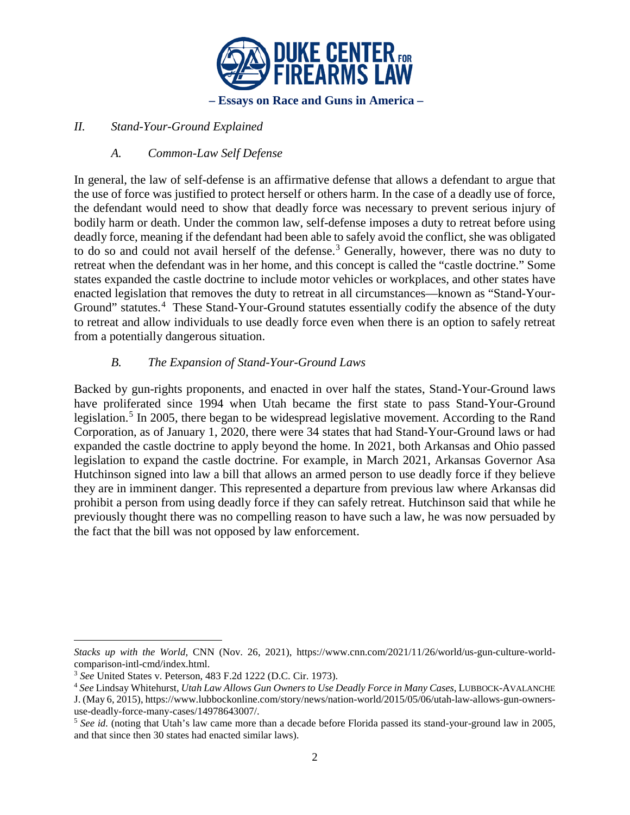

## *II. Stand-Your-Ground Explained*

## *A. Common-Law Self Defense*

In general, the law of self-defense is an affirmative defense that allows a defendant to argue that the use of force was justified to protect herself or others harm. In the case of a deadly use of force, the defendant would need to show that deadly force was necessary to prevent serious injury of bodily harm or death. Under the common law, self-defense imposes a duty to retreat before using deadly force, meaning if the defendant had been able to safely avoid the conflict, she was obligated to do so and could not avail herself of the defense.<sup>[3](#page-1-0)</sup> Generally, however, there was no duty to retreat when the defendant was in her home, and this concept is called the "castle doctrine." Some states expanded the castle doctrine to include motor vehicles or workplaces, and other states have enacted legislation that removes the duty to retreat in all circumstances—known as "Stand-Your-Ground" statutes.<sup>[4](#page-1-1)</sup> These Stand-Your-Ground statutes essentially codify the absence of the duty to retreat and allow individuals to use deadly force even when there is an option to safely retreat from a potentially dangerous situation.

## *B. The Expansion of Stand-Your-Ground Laws*

Backed by gun-rights proponents, and enacted in over half the states, Stand-Your-Ground laws have proliferated since 1994 when Utah became the first state to pass Stand-Your-Ground legislation.<sup>[5](#page-1-2)</sup> In 2005, there began to be widespread legislative movement. According to the Rand Corporation, as of January 1, 2020, there were 34 states that had Stand-Your-Ground laws or had expanded the castle doctrine to apply beyond the home. In 2021, both Arkansas and Ohio passed legislation to expand the castle doctrine. For example, in March 2021, Arkansas Governor Asa Hutchinson signed into law a bill that allows an armed person to use deadly force if they believe they are in imminent danger. This represented a departure from previous law where Arkansas did prohibit a person from using deadly force if they can safely retreat. Hutchinson said that while he previously thought there was no compelling reason to have such a law, he was now persuaded by the fact that the bill was not opposed by law enforcement.

 $\overline{a}$ 

*Stacks up with the World,* CNN (Nov. 26, 2021), https://www.cnn.com/2021/11/26/world/us-gun-culture-worldcomparison-intl-cmd/index.html.

<span id="page-1-0"></span><sup>3</sup> *See* United States v. Peterson, 483 F.2d 1222 (D.C. Cir. 1973).

<span id="page-1-1"></span><sup>4</sup> *See* Lindsay Whitehurst, *Utah Law Allows Gun Owners to Use Deadly Force in Many Cases*, LUBBOCK-AVALANCHE J. (May 6, 2015), https://www.lubbockonline.com/story/news/nation-world/2015/05/06/utah-law-allows-gun-ownersuse-deadly-force-many-cases/14978643007/.

<span id="page-1-2"></span><sup>5</sup> *See id.* (noting that Utah's law came more than a decade before Florida passed its stand-your-ground law in 2005, and that since then 30 states had enacted similar laws).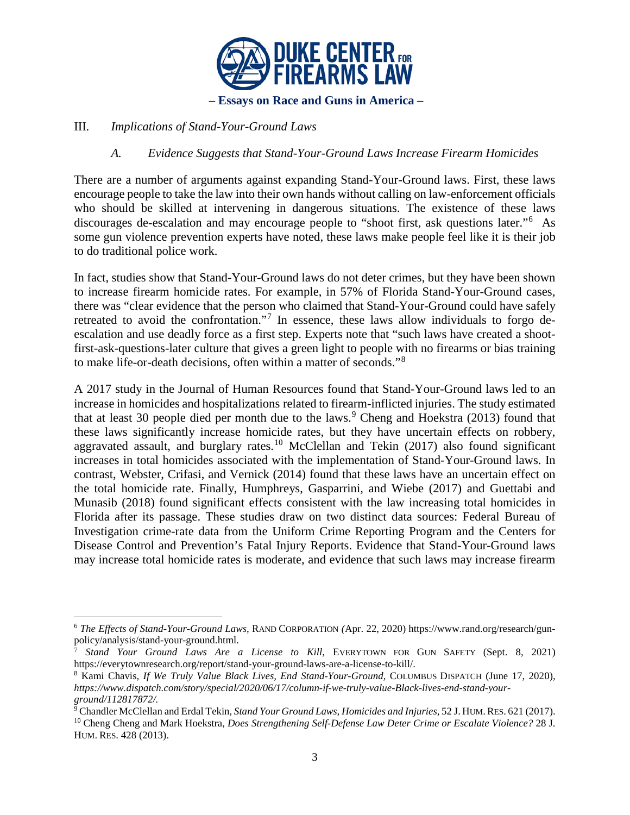

## III. *Implications of Stand-Your-Ground Laws*

## *A. Evidence Suggests that Stand-Your-Ground Laws Increase Firearm Homicides*

There are a number of arguments against expanding Stand-Your-Ground laws. First, these laws encourage people to take the law into their own hands without calling on law-enforcement officials who should be skilled at intervening in dangerous situations. The existence of these laws discourages de-escalation and may encourage people to "shoot first, ask questions later."<sup>[6](#page-2-0)</sup> As some gun violence prevention experts have noted, these laws make people feel like it is their job to do traditional police work.

In fact, studies show that Stand-Your-Ground laws do not deter crimes, but they have been shown to increase firearm homicide rates. For example, in 57% of Florida Stand-Your-Ground cases, there was "clear evidence that the person who claimed that Stand-Your-Ground could have safely retreated to avoid the confrontation."<sup>[7](#page-2-1)</sup> In essence, these laws allow individuals to forgo deescalation and use deadly force as a first step. Experts note that "such laws have created a shootfirst-ask-questions-later culture that gives a green light to people with no firearms or bias training to make life-or-death decisions, often within a matter of seconds."[8](#page-2-2)

A 2017 study in the Journal of Human Resources found that Stand-Your-Ground laws led to an increase in homicides and hospitalizations related to firearm-inflicted injuries. The study estimated that at least 30 people died per month due to the laws.<sup>[9](#page-2-3)</sup> Cheng and Hoekstra (2013) found that these laws significantly increase homicide rates, but they have uncertain effects on robbery, aggravated assault, and burglary rates.<sup>[10](#page-2-4)</sup> McClellan and Tekin  $(2017)$  also found significant increases in total homicides associated with the implementation of Stand-Your-Ground laws. In contrast, Webster, Crifasi, and Vernick (2014) found that these laws have an uncertain effect on the total homicide rate. Finally, Humphreys, Gasparrini, and Wiebe (2017) and Guettabi and Munasib (2018) found significant effects consistent with the law increasing total homicides in Florida after its passage. These studies draw on two distinct data sources: Federal Bureau of Investigation crime-rate data from the Uniform Crime Reporting Program and the Centers for Disease Control and Prevention's Fatal Injury Reports. Evidence that Stand-Your-Ground laws may increase total homicide rates is moderate, and evidence that such laws may increase firearm

<span id="page-2-0"></span> <sup>6</sup> *The Effects of Stand-Your-Ground Laws,* RAND CORPORATION *(*Apr. 22, 2020) https://www.rand.org/research/gunpolicy/analysis/stand-your-ground.html.

<span id="page-2-1"></span><sup>7</sup> *Stand Your Ground Laws Are a License to Kill*, EVERYTOWN FOR GUN SAFETY (Sept. 8, 2021) https://everytownresearch.org/report/stand-your-ground-laws-are-a-license-to-kill/.

<span id="page-2-2"></span><sup>8</sup> Kami Chavis, *If We Truly Value Black Lives, End Stand-Your-Ground,* COLUMBUS DISPATCH (June 17, 2020), *https://www.dispatch.com/story/special/2020/06/17/column-if-we-truly-value-Black-lives-end-stand-yourground/112817872/.*

<span id="page-2-3"></span><sup>9</sup> Chandler McClellan and Erdal Tekin, *Stand Your Ground Laws, Homicides and Injuries,* 52 J. HUM.RES. 621 (2017). <sup>10</sup> Cheng Cheng and Mark Hoekstra, *Does Strengthening Self-Defense Law Deter Crime or Escalate Violence?* 28 J.

<span id="page-2-4"></span>HUM. RES. 428 (2013).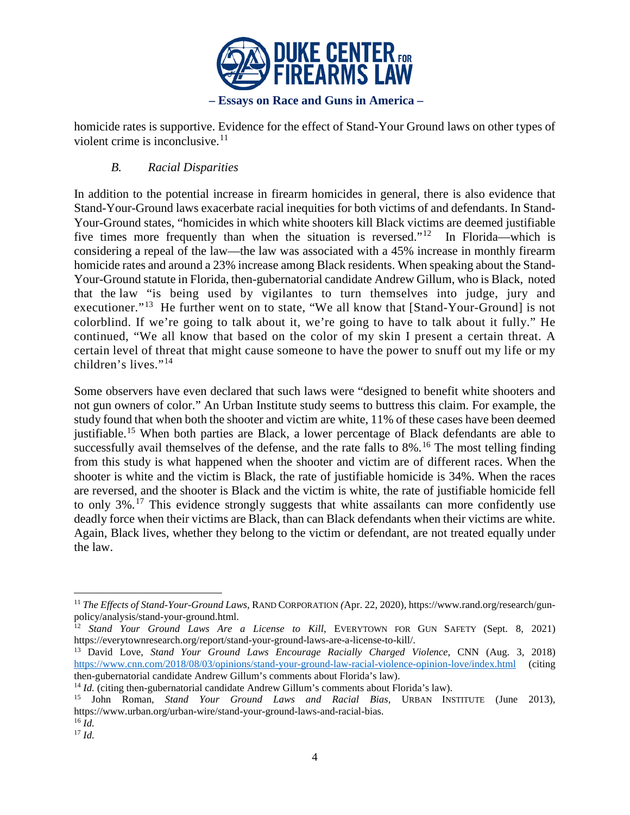

homicide rates is supportive. Evidence for the effect of Stand-Your Ground laws on other types of violent crime is inconclusive. $11$ 

# *B. Racial Disparities*

In addition to the potential increase in firearm homicides in general, there is also evidence that Stand-Your-Ground laws exacerbate racial inequities for both victims of and defendants. In Stand-Your-Ground states, "homicides in which white shooters kill Black victims are deemed justifiable five times more frequently than when the situation is reversed."<sup>[12](#page-3-1)</sup> In Florida—which is considering a repeal of the law—the law was associated with a 45% increase in monthly firearm homicide rates and around a 23% increase among Black residents. When speaking about the Stand-Your-Ground statute in Florida, then-gubernatorial candidate Andrew Gillum, who is Black, noted that the law "is being used by vigilantes to turn themselves into judge, jury and executioner."<sup>13</sup> He further went on to state, "We all know that [Stand-Your-Ground] is not colorblind. If we're going to talk about it, we're going to have to talk about it fully." He continued, "We all know that based on the color of my skin I present a certain threat. A certain level of threat that might cause someone to have the power to snuff out my life or my children's lives."[14](#page-3-3)

Some observers have even declared that such laws were "designed to benefit white shooters and not gun owners of color." An Urban Institute study seems to buttress this claim. For example, the study found that when both the shooter and victim are white, 11% of these cases have been deemed justifiable.[15](#page-3-4) When both parties are Black, a lower percentage of Black defendants are able to successfully avail themselves of the defense, and the rate falls to  $8\%$ .<sup>[16](#page-3-5)</sup> The most telling finding from this study is what happened when the shooter and victim are of different races. When the shooter is white and the victim is Black, the rate of justifiable homicide is 34%. When the races are reversed, and the shooter is Black and the victim is white, the rate of justifiable homicide fell to only 3%.[17](#page-3-6) This evidence strongly suggests that white assailants can more confidently use deadly force when their victims are Black, than can Black defendants when their victims are white. Again, Black lives, whether they belong to the victim or defendant, are not treated equally under the law.

<span id="page-3-0"></span> <sup>11</sup> *The Effects of Stand-Your-Ground Laws*, RAND CORPORATION *(*Apr. 22, 2020), https://www.rand.org/research/gunpolicy/analysis/stand-your-ground.html.

<span id="page-3-1"></span><sup>12</sup> *Stand Your Ground Laws Are a License to Kill*, EVERYTOWN FOR GUN SAFETY (Sept. 8, 2021) https://everytownresearch.org/report/stand-your-ground-laws-are-a-license-to-kill/.

<span id="page-3-2"></span><sup>13</sup> David Love, *Stand Your Ground Laws Encourage Racially Charged Violence*, CNN (Aug. 3, 2018) <https://www.cnn.com/2018/08/03/opinions/stand-your-ground-law-racial-violence-opinion-love/index.html> (citing then-gubernatorial candidate Andrew Gillum's comments about Florida's law).

<span id="page-3-3"></span><sup>&</sup>lt;sup>14</sup> *Id.* (citing then-gubernatorial candidate Andrew Gillum's comments about Florida's law).

<span id="page-3-4"></span><sup>15</sup> John Roman, *Stand Your Ground Laws and Racial Bias*, URBAN INSTITUTE (June 2013)*,*  https://www.urban.org/urban-wire/stand-your-ground-laws-and-racial-bias. <sup>16</sup> *Id.*

<span id="page-3-6"></span><span id="page-3-5"></span><sup>17</sup> *Id.*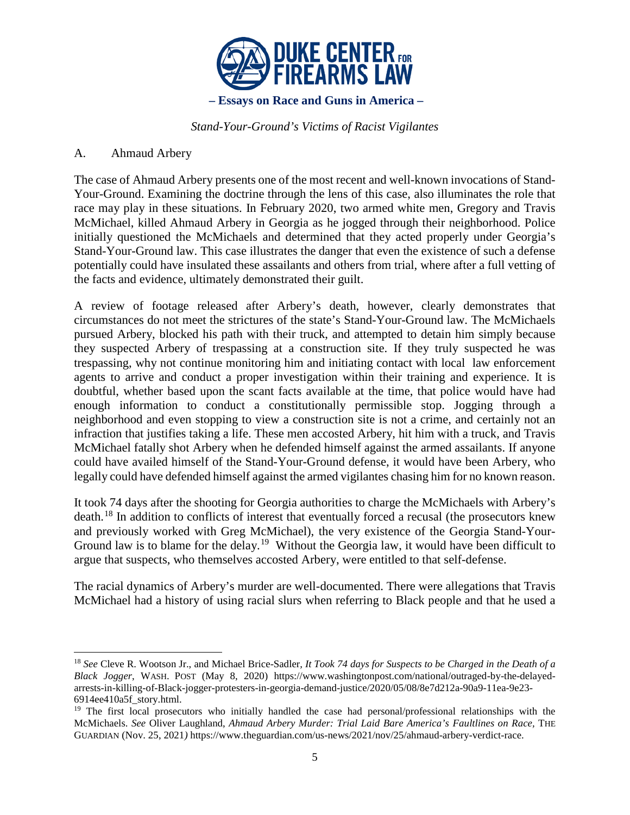

*Stand-Your-Ground's Victims of Racist Vigilantes*

## A. Ahmaud Arbery

The case of Ahmaud Arbery presents one of the most recent and well-known invocations of Stand-Your-Ground. Examining the doctrine through the lens of this case, also illuminates the role that race may play in these situations. In February 2020, two armed white men, Gregory and Travis McMichael, killed Ahmaud Arbery in Georgia as he jogged through their neighborhood. Police initially questioned the McMichaels and determined that they acted properly under Georgia's Stand-Your-Ground law. This case illustrates the danger that even the existence of such a defense potentially could have insulated these assailants and others from trial, where after a full vetting of the facts and evidence, ultimately demonstrated their guilt.

A review of footage released after Arbery's death, however, clearly demonstrates that circumstances do not meet the strictures of the state's Stand-Your-Ground law. The McMichaels pursued Arbery, blocked his path with their truck, and attempted to detain him simply because they suspected Arbery of trespassing at a construction site. If they truly suspected he was trespassing, why not continue monitoring him and initiating contact with local law enforcement agents to arrive and conduct a proper investigation within their training and experience. It is doubtful, whether based upon the scant facts available at the time, that police would have had enough information to conduct a constitutionally permissible stop. Jogging through a neighborhood and even stopping to view a construction site is not a crime, and certainly not an infraction that justifies taking a life. These men accosted Arbery, hit him with a truck, and Travis McMichael fatally shot Arbery when he defended himself against the armed assailants. If anyone could have availed himself of the Stand-Your-Ground defense, it would have been Arbery, who legally could have defended himself against the armed vigilantes chasing him for no known reason.

It took 74 days after the shooting for Georgia authorities to charge the McMichaels with Arbery's death.[18](#page-4-0) In addition to conflicts of interest that eventually forced a recusal (the prosecutors knew and previously worked with Greg McMichael), the very existence of the Georgia Stand-Your-Ground law is to blame for the delay.<sup>19</sup> Without the Georgia law, it would have been difficult to argue that suspects, who themselves accosted Arbery, were entitled to that self-defense.

The racial dynamics of Arbery's murder are well-documented. There were allegations that Travis McMichael had a history of using racial slurs when referring to Black people and that he used a

<span id="page-4-0"></span> <sup>18</sup> *See* Cleve R. Wootson Jr., and Michael Brice-Sadler*, It Took 74 days for Suspects to be Charged in the Death of a Black Jogger*, WASH. POST (May 8, 2020) https://www.washingtonpost.com/national/outraged-by-the-delayedarrests-in-killing-of-Black-jogger-protesters-in-georgia-demand-justice/2020/05/08/8e7d212a-90a9-11ea-9e23- 6914ee410a5f\_story.html.

<span id="page-4-1"></span><sup>&</sup>lt;sup>19</sup> The first local prosecutors who initially handled the case had personal/professional relationships with the McMichaels. *See* Oliver Laughland, *Ahmaud Arbery Murder: Trial Laid Bare America's Faultlines on Race,* THE GUARDIAN (Nov. 25, 2021*)* https://www.theguardian.com/us-news/2021/nov/25/ahmaud-arbery-verdict-race.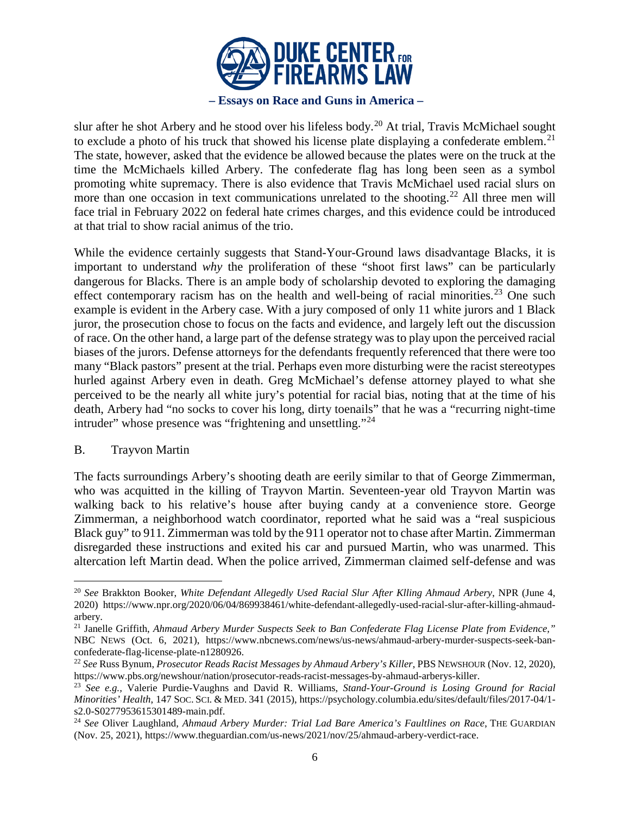

#### **– Essays on Race and Guns in America** *–*

slur after he shot Arbery and he stood over his lifeless body.<sup>[20](#page-5-0)</sup> At trial, Travis McMichael sought to exclude a photo of his truck that showed his license plate displaying a confederate emblem.<sup>[21](#page-5-1)</sup> The state, however, asked that the evidence be allowed because the plates were on the truck at the time the McMichaels killed Arbery. The confederate flag has long been seen as a symbol promoting white supremacy. There is also evidence that Travis McMichael used racial slurs on more than one occasion in text communications unrelated to the shooting.<sup>[22](#page-5-2)</sup> All three men will face trial in February 2022 on federal hate crimes charges, and this evidence could be introduced at that trial to show racial animus of the trio.

While the evidence certainly suggests that Stand-Your-Ground laws disadvantage Blacks, it is important to understand *why* the proliferation of these "shoot first laws" can be particularly dangerous for Blacks. There is an ample body of scholarship devoted to exploring the damaging effect contemporary racism has on the health and well-being of racial minorities.<sup>[23](#page-5-3)</sup> One such example is evident in the Arbery case. With a jury composed of only 11 white jurors and 1 Black juror, the prosecution chose to focus on the facts and evidence, and largely left out the discussion of race. On the other hand, a large part of the defense strategy was to play upon the perceived racial biases of the jurors. Defense attorneys for the defendants frequently referenced that there were too many "Black pastors" present at the trial. Perhaps even more disturbing were the racist stereotypes hurled against Arbery even in death. Greg McMichael's defense attorney played to what she perceived to be the nearly all white jury's potential for racial bias, noting that at the time of his death, Arbery had "no socks to cover his long, dirty toenails" that he was a "recurring night-time intruder" whose presence was "frightening and unsettling."<sup>[24](#page-5-4)</sup>

#### B. Trayvon Martin

The facts surroundings Arbery's shooting death are eerily similar to that of George Zimmerman, who was acquitted in the killing of Trayvon Martin. Seventeen-year old Trayvon Martin was walking back to his relative's house after buying candy at a convenience store. George Zimmerman, a neighborhood watch coordinator, reported what he said was a "real suspicious Black guy" to 911. Zimmerman was told by the 911 operator not to chase after Martin. Zimmerman disregarded these instructions and exited his car and pursued Martin, who was unarmed. This altercation left Martin dead. When the police arrived, Zimmerman claimed self-defense and was

<span id="page-5-0"></span> <sup>20</sup> *See* Brakkton Booker, *White Defendant Allegedly Used Racial Slur After Klling Ahmaud Arbery*, NPR (June 4, 2020) https://www.npr.org/2020/06/04/869938461/white-defendant-allegedly-used-racial-slur-after-killing-ahmaudarbery.

<span id="page-5-1"></span><sup>21</sup> Janelle Griffith, *Ahmaud Arbery Murder Suspects Seek to Ban Confederate Flag License Plate from Evidence,"* NBC NEWS (Oct. 6, 2021), https://www.nbcnews.com/news/us-news/ahmaud-arbery-murder-suspects-seek-banconfederate-flag-license-plate-n1280926.

<span id="page-5-2"></span><sup>22</sup> *See* Russ Bynum, *Prosecutor Reads Racist Messages by Ahmaud Arbery's Killer*, PBS NEWSHOUR (Nov. 12, 2020), https://www.pbs.org/newshour/nation/prosecutor-reads-racist-messages-by-ahmaud-arberys-killer.

<span id="page-5-3"></span><sup>23</sup> *See e.g.,* Valerie Purdie-Vaughns and David R. Williams, *Stand-Your-Ground is Losing Ground for Racial Minorities' Health*, 147 SOC. SCI. & MED. 341 (2015), https://psychology.columbia.edu/sites/default/files/2017-04/1 s2.0-S0277953615301489-main.pdf.

<span id="page-5-4"></span><sup>24</sup> *See* Oliver Laughland, *Ahmaud Arbery Murder: Trial Lad Bare America's Faultlines on Race*, THE GUARDIAN (Nov. 25, 2021), https://www.theguardian.com/us-news/2021/nov/25/ahmaud-arbery-verdict-race.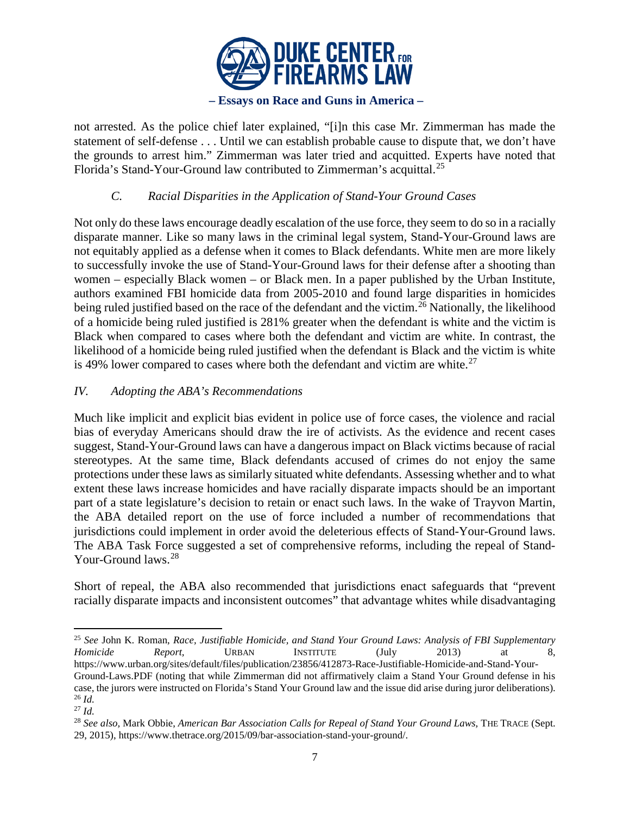

not arrested. As the police chief later explained, "[i]n this case Mr. Zimmerman has made the statement of self-defense . . . Until we can establish probable cause to dispute that, we don't have the grounds to arrest him." Zimmerman was later tried and acquitted. Experts have noted that Florida's Stand-Your-Ground law contributed to Zimmerman's acquittal.<sup>[25](#page-6-0)</sup>

# *C. Racial Disparities in the Application of Stand-Your Ground Cases*

Not only do these laws encourage deadly escalation of the use force, they seem to do so in a racially disparate manner. Like so many laws in the criminal legal system, Stand-Your-Ground laws are not equitably applied as a defense when it comes to Black defendants. White men are more likely to successfully invoke the use of Stand-Your-Ground laws for their defense after a shooting than women – especially Black women – or Black men. In a paper published by the Urban Institute, authors examined FBI homicide data from 2005-2010 and found large disparities in homicides being ruled justified based on the race of the defendant and the victim.<sup>[26](#page-6-1)</sup> Nationally, the likelihood of a homicide being ruled justified is 281% greater when the defendant is white and the victim is Black when compared to cases where both the defendant and victim are white. In contrast, the likelihood of a homicide being ruled justified when the defendant is Black and the victim is white is 49% lower compared to cases where both the defendant and victim are white. $27$ 

## *IV. Adopting the ABA's Recommendations*

Much like implicit and explicit bias evident in police use of force cases, the violence and racial bias of everyday Americans should draw the ire of activists. As the evidence and recent cases suggest, Stand-Your-Ground laws can have a dangerous impact on Black victims because of racial stereotypes. At the same time, Black defendants accused of crimes do not enjoy the same protections under these laws as similarly situated white defendants. Assessing whether and to what extent these laws increase homicides and have racially disparate impacts should be an important part of a state legislature's decision to retain or enact such laws. In the wake of Trayvon Martin, the ABA detailed report on the use of force included a number of recommendations that jurisdictions could implement in order avoid the deleterious effects of Stand-Your-Ground laws. The ABA Task Force suggested a set of comprehensive reforms, including the repeal of Stand-Your-Ground laws.<sup>[28](#page-6-3)</sup>

Short of repeal, the ABA also recommended that jurisdictions enact safeguards that "prevent racially disparate impacts and inconsistent outcomes" that advantage whites while disadvantaging

<span id="page-6-0"></span> <sup>25</sup> *See* John K. Roman, *Race, Justifiable Homicide, and Stand Your Ground Laws: Analysis of FBI Supplementary Homicide Report,* URBAN INSTITUTE (July 2013) at 8, https://www.urban.org/sites/default/files/publication/23856/412873-Race-Justifiable-Homicide-and-Stand-Your-

Ground-Laws.PDF (noting that while Zimmerman did not affirmatively claim a Stand Your Ground defense in his case, the jurors were instructed on Florida's Stand Your Ground law and the issue did arise during juror deliberations). 26 *Id.*

<span id="page-6-2"></span><span id="page-6-1"></span><sup>27</sup> *Id.*

<span id="page-6-3"></span><sup>28</sup> *See also,* Mark Obbie, *American Bar Association Calls for Repeal of Stand Your Ground Laws,* THE TRACE (Sept. 29, 2015), https://www.thetrace.org/2015/09/bar-association-stand-your-ground/.